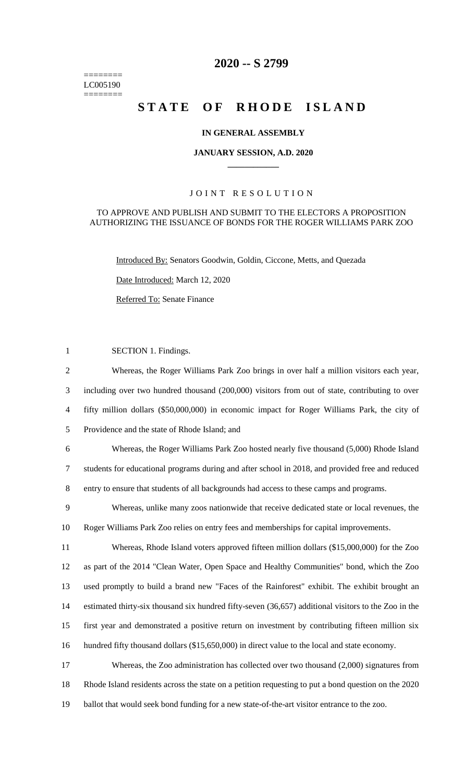======== LC005190 ========

# **2020 -- S 2799**

# STATE OF RHODE ISLAND

# **IN GENERAL ASSEMBLY**

#### **JANUARY SESSION, A.D. 2020 \_\_\_\_\_\_\_\_\_\_\_\_**

## JOINT RESOLUTION

### TO APPROVE AND PUBLISH AND SUBMIT TO THE ELECTORS A PROPOSITION AUTHORIZING THE ISSUANCE OF BONDS FOR THE ROGER WILLIAMS PARK ZOO

Introduced By: Senators Goodwin, Goldin, Ciccone, Metts, and Quezada

Date Introduced: March 12, 2020

Referred To: Senate Finance

| $\mathbf{1}$   | SECTION 1. Findings.                                                                                 |
|----------------|------------------------------------------------------------------------------------------------------|
| 2              | Whereas, the Roger Williams Park Zoo brings in over half a million visitors each year,               |
| 3              | including over two hundred thousand (200,000) visitors from out of state, contributing to over       |
| $\overline{4}$ | fifty million dollars (\$50,000,000) in economic impact for Roger Williams Park, the city of         |
| 5              | Providence and the state of Rhode Island; and                                                        |
| 6              | Whereas, the Roger Williams Park Zoo hosted nearly five thousand (5,000) Rhode Island                |
| $\tau$         | students for educational programs during and after school in 2018, and provided free and reduced     |
| 8              | entry to ensure that students of all backgrounds had access to these camps and programs.             |
| 9              | Whereas, unlike many zoos nationwide that receive dedicated state or local revenues, the             |
| 10             | Roger Williams Park Zoo relies on entry fees and memberships for capital improvements.               |
| 11             | Whereas, Rhode Island voters approved fifteen million dollars (\$15,000,000) for the Zoo             |
| 12             | as part of the 2014 "Clean Water, Open Space and Healthy Communities" bond, which the Zoo            |
| 13             | used promptly to build a brand new "Faces of the Rainforest" exhibit. The exhibit brought an         |
| 14             | estimated thirty-six thousand six hundred fifty-seven (36,657) additional visitors to the Zoo in the |
| 15             | first year and demonstrated a positive return on investment by contributing fifteen million six      |
| 16             | hundred fifty thousand dollars (\$15,650,000) in direct value to the local and state economy.        |
| 17             | Whereas, the Zoo administration has collected over two thousand $(2,000)$ signatures from            |
| 18             | Rhode Island residents across the state on a petition requesting to put a bond question on the 2020  |
| 19             | ballot that would seek bond funding for a new state-of-the-art visitor entrance to the zoo.          |